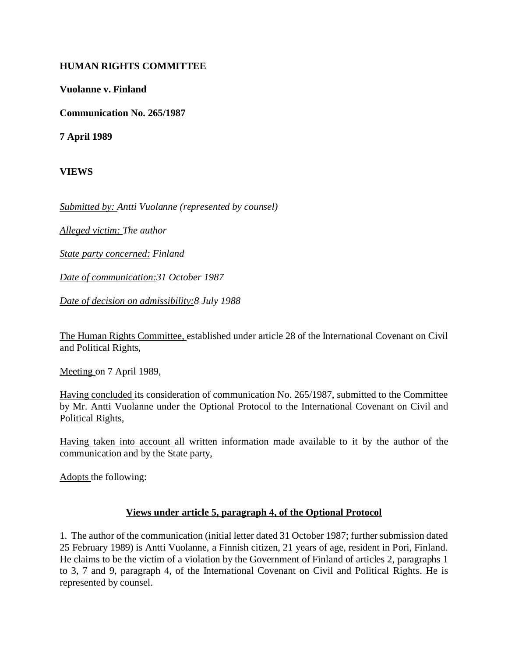## **HUMAN RIGHTS COMMITTEE**

## **Vuolanne v. Finland**

**Communication No. 265/1987**

**7 April 1989**

**VIEWS**

*Submitted by: Antti Vuolanne (represented by counsel)*

*Alleged victim: The author*

*State party concerned: Finland*

*Date of communication:31 October 1987*

*Date of decision on admissibility:8 July 1988*

The Human Rights Committee, established under article 28 of the International Covenant on Civil and Political Rights,

Meeting on 7 April 1989,

Having concluded its consideration of communication No. 265/1987, submitted to the Committee by Mr. Antti Vuolanne under the Optional Protocol to the International Covenant on Civil and Political Rights,

Having taken into account all written information made available to it by the author of the communication and by the State party,

Adopts the following:

## **Views under article 5, paragraph 4, of the Optional Protocol**

1. The author of the communication (initial letter dated 31 October 1987; further submission dated 25 February 1989) is Antti Vuolanne, a Finnish citizen, 21 years of age, resident in Pori, Finland. He claims to be the victim of a violation by the Government of Finland of articles 2, paragraphs 1 to 3, 7 and 9, paragraph 4, of the International Covenant on Civil and Political Rights. He is represented by counsel.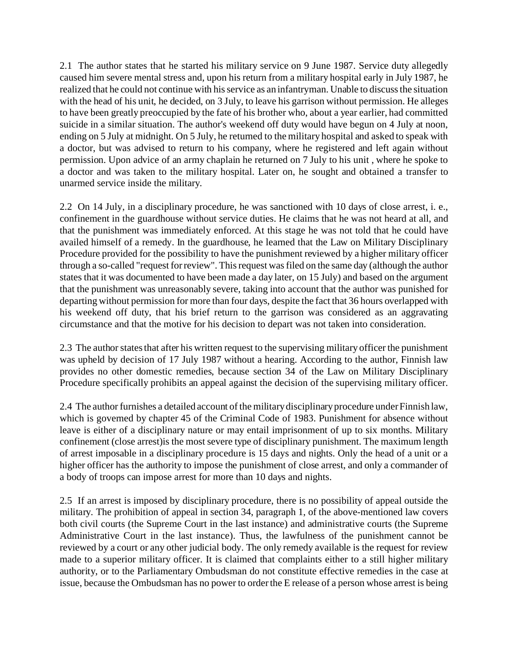2.1 The author states that he started his military service on 9 June 1987. Service duty allegedly caused him severe mental stress and, upon his return from a military hospital early in July 1987, he realized that he could not continue with his service as an infantryman. Unable to discuss the situation with the head of his unit, he decided, on 3 July, to leave his garrison without permission. He alleges to have been greatly preoccupied by the fate of his brother who, about a year earlier, had committed suicide in a similar situation. The author's weekend off duty would have begun on 4 July at noon, ending on 5 July at midnight. On 5 July, he returned to the military hospital and asked to speak with a doctor, but was advised to return to his company, where he registered and left again without permission. Upon advice of an army chaplain he returned on 7 July to his unit , where he spoke to a doctor and was taken to the military hospital. Later on, he sought and obtained a transfer to unarmed service inside the military.

2.2 On 14 July, in a disciplinary procedure, he was sanctioned with 10 days of close arrest, i. e., confinement in the guardhouse without service duties. He claims that he was not heard at all, and that the punishment was immediately enforced. At this stage he was not told that he could have availed himself of a remedy. In the guardhouse, he learned that the Law on Military Disciplinary Procedure provided for the possibility to have the punishment reviewed by a higher military officer through a so-called "request for review". This request was filed on the same day (although the author states that it was documented to have been made a day later, on 15 July) and based on the argument that the punishment was unreasonably severe, taking into account that the author was punished for departing without permission for more than four days, despite the fact that 36 hours overlapped with his weekend off duty, that his brief return to the garrison was considered as an aggravating circumstance and that the motive for his decision to depart was not taken into consideration.

2.3 The author states that after his written request to the supervising military officer the punishment was upheld by decision of 17 July 1987 without a hearing. According to the author, Finnish law provides no other domestic remedies, because section 34 of the Law on Military Disciplinary Procedure specifically prohibits an appeal against the decision of the supervising military officer.

2.4 The author furnishes a detailed account of the military disciplinary procedure under Finnish law, which is governed by chapter 45 of the Criminal Code of 1983. Punishment for absence without leave is either of a disciplinary nature or may entail imprisonment of up to six months. Military confinement (close arrest)is the most severe type of disciplinary punishment. The maximum length of arrest imposable in a disciplinary procedure is 15 days and nights. Only the head of a unit or a higher officer has the authority to impose the punishment of close arrest, and only a commander of a body of troops can impose arrest for more than 10 days and nights.

2.5 If an arrest is imposed by disciplinary procedure, there is no possibility of appeal outside the military. The prohibition of appeal in section 34, paragraph 1, of the above-mentioned law covers both civil courts (the Supreme Court in the last instance) and administrative courts (the Supreme Administrative Court in the last instance). Thus, the lawfulness of the punishment cannot be reviewed by a court or any other judicial body. The only remedy available is the request for review made to a superior military officer. It is claimed that complaints either to a still higher military authority, or to the Parliamentary Ombudsman do not constitute effective remedies in the case at issue, because the Ombudsman has no power to order the E release of a person whose arrest is being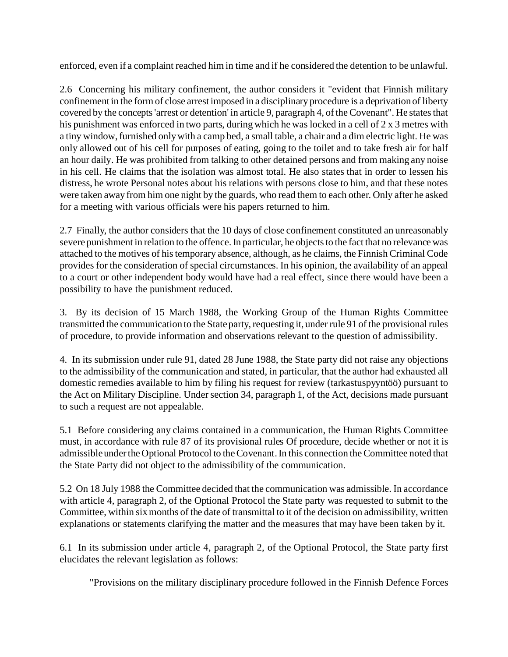enforced, even if a complaint reached him in time and if he considered the detention to be unlawful.

2.6 Concerning his military confinement, the author considers it "evident that Finnish military confinement in the form of close arrest imposed in a disciplinary procedure is a deprivation of liberty covered by the concepts 'arrest or detention' in article 9, paragraph 4, of the Covenant". He states that his punishment was enforced in two parts, during which he was locked in a cell of 2 x 3 metres with a tiny window, furnished only with a camp bed, a small table, a chair and a dim electric light. He was only allowed out of his cell for purposes of eating, going to the toilet and to take fresh air for half an hour daily. He was prohibited from talking to other detained persons and from making any noise in his cell. He claims that the isolation was almost total. He also states that in order to lessen his distress, he wrote Personal notes about his relations with persons close to him, and that these notes were taken away from him one night by the guards, who read them to each other. Only after he asked for a meeting with various officials were his papers returned to him.

2.7 Finally, the author considers that the 10 days of close confinement constituted an unreasonably severe punishment in relation to the offence. In particular, he objects to the fact that no relevance was attached to the motives of his temporary absence, although, as he claims, the Finnish Criminal Code provides for the consideration of special circumstances. In his opinion, the availability of an appeal to a court or other independent body would have had a real effect, since there would have been a possibility to have the punishment reduced.

3. By its decision of 15 March 1988, the Working Group of the Human Rights Committee transmitted the communication to the State party, requesting it, under rule 91 of the provisional rules of procedure, to provide information and observations relevant to the question of admissibility.

4. In its submission under rule 91, dated 28 June 1988, the State party did not raise any objections to the admissibility of the communication and stated, in particular, that the author had exhausted all domestic remedies available to him by filing his request for review (tarkastuspyyntöö) pursuant to the Act on Military Discipline. Under section 34, paragraph 1, of the Act, decisions made pursuant to such a request are not appealable.

5.1 Before considering any claims contained in a communication, the Human Rights Committee must, in accordance with rule 87 of its provisional rules Of procedure, decide whether or not it is admissible under the Optional Protocol to the Covenant. In this connection the Committee noted that the State Party did not object to the admissibility of the communication.

5.2 On 18 July 1988 the Committee decided that the communication was admissible. In accordance with article 4, paragraph 2, of the Optional Protocol the State party was requested to submit to the Committee, within six months of the date of transmittal to it of the decision on admissibility, written explanations or statements clarifying the matter and the measures that may have been taken by it.

6.1 In its submission under article 4, paragraph 2, of the Optional Protocol, the State party first elucidates the relevant legislation as follows:

"Provisions on the military disciplinary procedure followed in the Finnish Defence Forces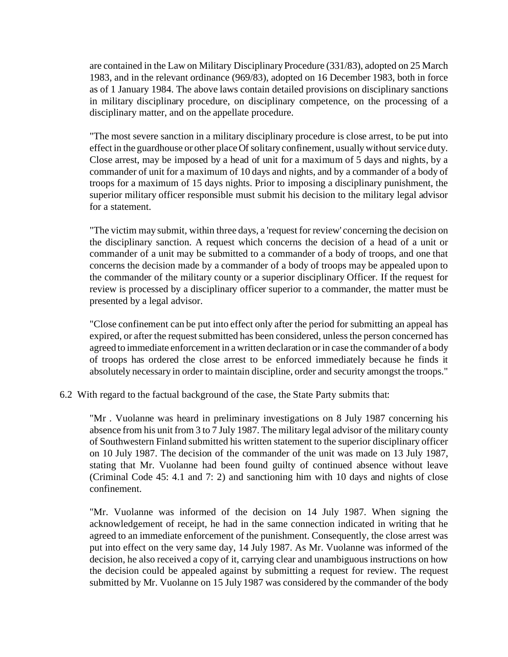are contained in the Law on Military Disciplinary Procedure (331/83), adopted on 25 March 1983, and in the relevant ordinance (969/83), adopted on 16 December 1983, both in force as of 1 January 1984. The above laws contain detailed provisions on disciplinary sanctions in military disciplinary procedure, on disciplinary competence, on the processing of a disciplinary matter, and on the appellate procedure.

"The most severe sanction in a military disciplinary procedure is close arrest, to be put into effect in the guardhouse or other place Of solitary confinement, usually without service duty. Close arrest, may be imposed by a head of unit for a maximum of 5 days and nights, by a commander of unit for a maximum of 10 days and nights, and by a commander of a body of troops for a maximum of 15 days nights. Prior to imposing a disciplinary punishment, the superior military officer responsible must submit his decision to the military legal advisor for a statement.

"The victim may submit, within three days, a 'request for review' concerning the decision on the disciplinary sanction. A request which concerns the decision of a head of a unit or commander of a unit may be submitted to a commander of a body of troops, and one that concerns the decision made by a commander of a body of troops may be appealed upon to the commander of the military county or a superior disciplinary Officer. If the request for review is processed by a disciplinary officer superior to a commander, the matter must be presented by a legal advisor.

"Close confinement can be put into effect only after the period for submitting an appeal has expired, or after the request submitted has been considered, unless the person concerned has agreed to immediate enforcement in a written declaration or in case the commander of a body of troops has ordered the close arrest to be enforced immediately because he finds it absolutely necessary in order to maintain discipline, order and security amongst the troops."

6.2 With regard to the factual background of the case, the State Party submits that:

"Mr . Vuolanne was heard in preliminary investigations on 8 July 1987 concerning his absence from his unit from 3 to 7 July 1987. The military legal advisor of the military county of Southwestern Finland submitted his written statement to the superior disciplinary officer on 10 July 1987. The decision of the commander of the unit was made on 13 July 1987, stating that Mr. Vuolanne had been found guilty of continued absence without leave (Criminal Code 45: 4.1 and 7: 2) and sanctioning him with 10 days and nights of close confinement.

"Mr. Vuolanne was informed of the decision on 14 July 1987. When signing the acknowledgement of receipt, he had in the same connection indicated in writing that he agreed to an immediate enforcement of the punishment. Consequently, the close arrest was put into effect on the very same day, 14 July 1987. As Mr. Vuolanne was informed of the decision, he also received a copy of it, carrying clear and unambiguous instructions on how the decision could be appealed against by submitting a request for review. The request submitted by Mr. Vuolanne on 15 July 1987 was considered by the commander of the body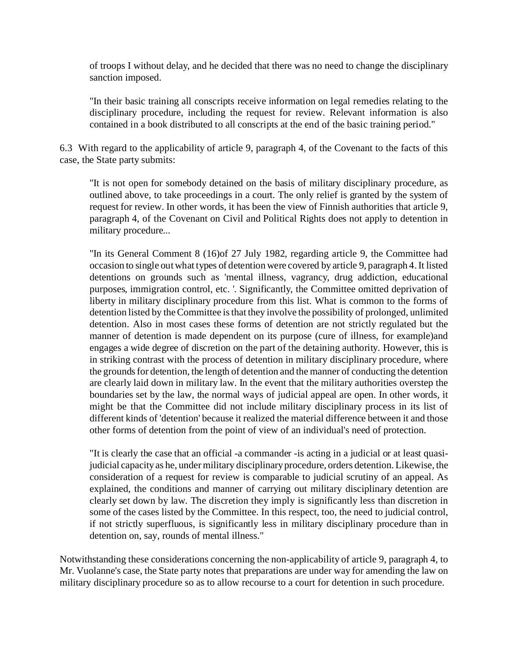of troops I without delay, and he decided that there was no need to change the disciplinary sanction imposed.

"In their basic training all conscripts receive information on legal remedies relating to the disciplinary procedure, including the request for review. Relevant information is also contained in a book distributed to all conscripts at the end of the basic training period."

6.3 With regard to the applicability of article 9, paragraph 4, of the Covenant to the facts of this case, the State party submits:

"It is not open for somebody detained on the basis of military disciplinary procedure, as outlined above, to take proceedings in a court. The only relief is granted by the system of request for review. In other words, it has been the view of Finnish authorities that article 9, paragraph 4, of the Covenant on Civil and Political Rights does not apply to detention in military procedure...

"In its General Comment 8 (16)of 27 July 1982, regarding article 9, the Committee had occasion to single out what types of detention were covered by article 9, paragraph 4. It listed detentions on grounds such as 'mental illness, vagrancy, drug addiction, educational purposes, immigration control, etc. '. Significantly, the Committee omitted deprivation of liberty in military disciplinary procedure from this list. What is common to the forms of detention listed by the Committee is that they involve the possibility of prolonged, unlimited detention. Also in most cases these forms of detention are not strictly regulated but the manner of detention is made dependent on its purpose (cure of illness, for example)and engages a wide degree of discretion on the part of the detaining authority. However, this is in striking contrast with the process of detention in military disciplinary procedure, where the grounds for detention, the length of detention and the manner of conducting the detention are clearly laid down in military law. In the event that the military authorities overstep the boundaries set by the law, the normal ways of judicial appeal are open. In other words, it might be that the Committee did not include military disciplinary process in its list of different kinds of 'detention' because it realized the material difference between it and those other forms of detention from the point of view of an individual's need of protection.

"It is clearly the case that an official -a commander -is acting in a judicial or at least quasijudicial capacity as he, under military disciplinary procedure, orders detention. Likewise, the consideration of a request for review is comparable to judicial scrutiny of an appeal. As explained, the conditions and manner of carrying out military disciplinary detention are clearly set down by law. The discretion they imply is significantly less than discretion in some of the cases listed by the Committee. In this respect, too, the need to judicial control, if not strictly superfluous, is significantly less in military disciplinary procedure than in detention on, say, rounds of mental illness."

Notwithstanding these considerations concerning the non-applicability of article 9, paragraph 4, to Mr. Vuolanne's case, the State party notes that preparations are under way for amending the law on military disciplinary procedure so as to allow recourse to a court for detention in such procedure.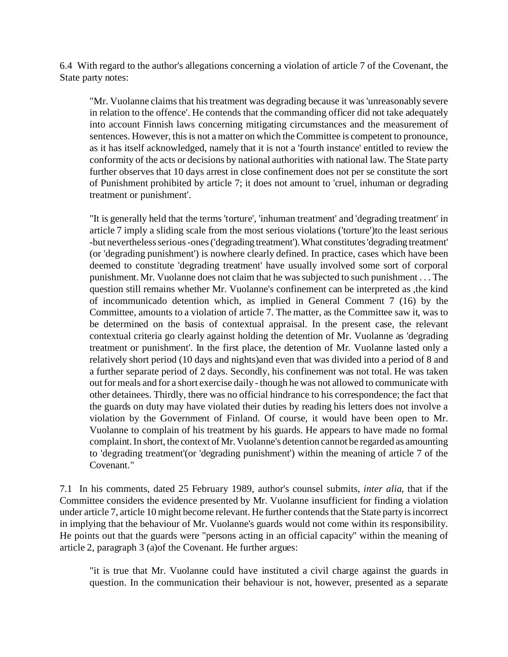6.4 With regard to the author's allegations concerning a violation of article 7 of the Covenant, the State party notes:

"Mr. Vuolanne claims that his treatment was degrading because it was 'unreasonably severe in relation to the offence'. He contends that the commanding officer did not take adequately into account Finnish laws concerning mitigating circumstances and the measurement of sentences. However, this is not a matter on which the Committee is competent to pronounce, as it has itself acknowledged, namely that it is not a 'fourth instance' entitled to review the conformity of the acts or decisions by national authorities with national law. The State party further observes that 10 days arrest in close confinement does not per se constitute the sort of Punishment prohibited by article 7; it does not amount to 'cruel, inhuman or degrading treatment or punishment'.

"It is generally held that the terms 'torture', 'inhuman treatment' and 'degrading treatment' in article 7 imply a sliding scale from the most serious violations ('torture')to the least serious -but nevertheless serious -ones ('degrading treatment').What constitutes'degrading treatment' (or 'degrading punishment') is nowhere clearly defined. In practice, cases which have been deemed to constitute 'degrading treatment' have usually involved some sort of corporal punishment. Mr. Vuolanne does not claim that he was subjected to such punishment . . . The question still remains whether Mr. Vuolanne's confinement can be interpreted as ,the kind of incommunicado detention which, as implied in General Comment 7 (16) by the Committee, amounts to a violation of article 7. The matter, as the Committee saw it, was to be determined on the basis of contextual appraisal. In the present case, the relevant contextual criteria go clearly against holding the detention of Mr. Vuolanne as 'degrading treatment or punishment'. In the first place, the detention of Mr. Vuolanne lasted only a relatively short period (10 days and nights)and even that was divided into a period of 8 and a further separate period of 2 days. Secondly, his confinement was not total. He was taken out for meals and for a short exercise daily - though he was not allowed to communicate with other detainees. Thirdly, there was no official hindrance to his correspondence; the fact that the guards on duty may have violated their duties by reading his letters does not involve a violation by the Government of Finland. Of course, it would have been open to Mr. Vuolanne to complain of his treatment by his guards. He appears to have made no formal complaint. In short, the context of Mr. Vuolanne's detention cannot be regarded as amounting to 'degrading treatment'(or 'degrading punishment') within the meaning of article 7 of the Covenant."

7.1 In his comments, dated 25 February 1989, author's counsel submits, *inter alia*, that if the Committee considers the evidence presented by Mr. Vuolanne insufficient for finding a violation under article 7, article 10 might become relevant. He further contends that the State party is incorrect in implying that the behaviour of Mr. Vuolanne's guards would not come within its responsibility. He points out that the guards were "persons acting in an official capacity" within the meaning of article 2, paragraph 3 (a)of the Covenant. He further argues:

"it is true that Mr. Vuolanne could have instituted a civil charge against the guards in question. In the communication their behaviour is not, however, presented as a separate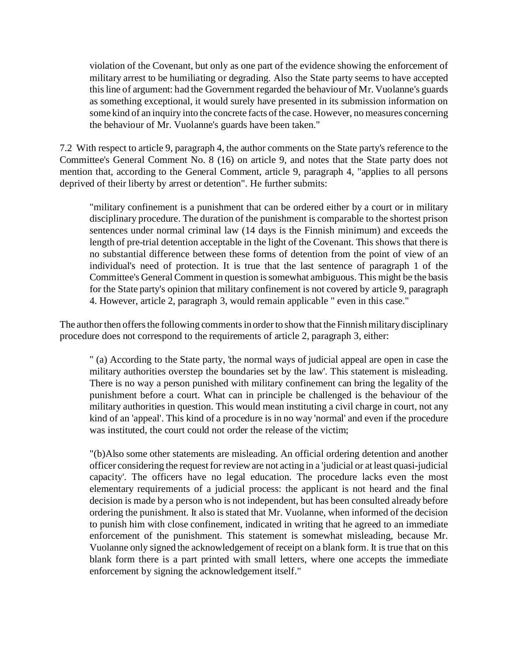violation of the Covenant, but only as one part of the evidence showing the enforcement of military arrest to be humiliating or degrading. Also the State party seems to have accepted this line of argument: had the Government regarded the behaviour of Mr. Vuolanne's guards as something exceptional, it would surely have presented in its submission information on some kind of an inquiry into the concrete facts of the case. However, no measures concerning the behaviour of Mr. Vuolanne's guards have been taken."

7.2 With respect to article 9, paragraph 4, the author comments on the State party's reference to the Committee's General Comment No. 8 (16) on article 9, and notes that the State party does not mention that, according to the General Comment, article 9, paragraph 4, "applies to all persons deprived of their liberty by arrest or detention". He further submits:

"military confinement is a punishment that can be ordered either by a court or in military disciplinary procedure. The duration of the punishment is comparable to the shortest prison sentences under normal criminal law (14 days is the Finnish minimum) and exceeds the length of pre-trial detention acceptable in the light of the Covenant. This shows that there is no substantial difference between these forms of detention from the point of view of an individual's need of protection. It is true that the last sentence of paragraph 1 of the Committee's General Comment in question is somewhat ambiguous. This might be the basis for the State party's opinion that military confinement is not covered by article 9, paragraph 4. However, article 2, paragraph 3, would remain applicable " even in this case."

The author then offers the following comments in order to show that the Finnish military disciplinary procedure does not correspond to the requirements of article 2, paragraph 3, either:

" (a) According to the State party, 'the normal ways of judicial appeal are open in case the military authorities overstep the boundaries set by the law'. This statement is misleading. There is no way a person punished with military confinement can bring the legality of the punishment before a court. What can in principle be challenged is the behaviour of the military authorities in question. This would mean instituting a civil charge in court, not any kind of an 'appeal'. This kind of a procedure is in no way 'normal' and even if the procedure was instituted, the court could not order the release of the victim;

"(b)Also some other statements are misleading. An official ordering detention and another officer considering the request for review are not acting in a 'judicial or at least quasi-judicial capacity'. The officers have no legal education. The procedure lacks even the most elementary requirements of a judicial process: the applicant is not heard and the final decision is made by a person who is not independent, but has been consulted already before ordering the punishment. It also is stated that Mr. Vuolanne, when informed of the decision to punish him with close confinement, indicated in writing that he agreed to an immediate enforcement of the punishment. This statement is somewhat misleading, because Mr. Vuolanne only signed the acknowledgement of receipt on a blank form. It is true that on this blank form there is a part printed with small letters, where one accepts the immediate enforcement by signing the acknowledgement itself."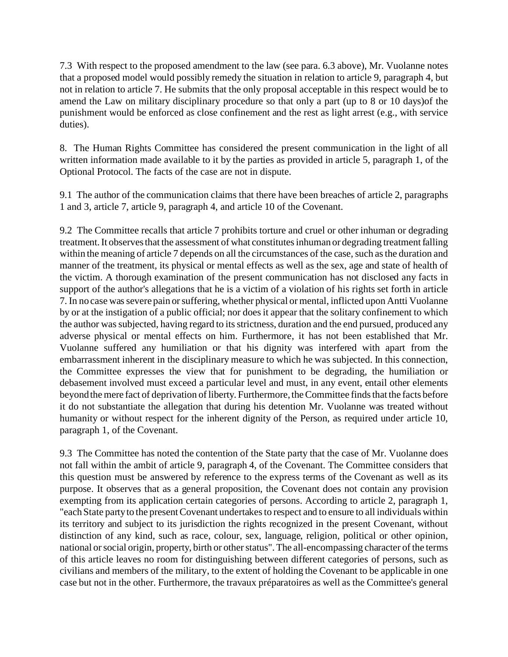7.3 With respect to the proposed amendment to the law (see para. 6.3 above), Mr. Vuolanne notes that a proposed model would possibly remedy the situation in relation to article 9, paragraph 4, but not in relation to article 7. He submits that the only proposal acceptable in this respect would be to amend the Law on military disciplinary procedure so that only a part (up to 8 or 10 days)of the punishment would be enforced as close confinement and the rest as light arrest (e.g., with service duties).

8. The Human Rights Committee has considered the present communication in the light of all written information made available to it by the parties as provided in article 5, paragraph 1, of the Optional Protocol. The facts of the case are not in dispute.

9.1 The author of the communication claims that there have been breaches of article 2, paragraphs 1 and 3, article 7, article 9, paragraph 4, and article 10 of the Covenant.

9.2 The Committee recalls that article 7 prohibits torture and cruel or other inhuman or degrading treatment. It observes that the assessment of what constitutes inhuman or degrading treatment falling within the meaning of article 7 depends on all the circumstances of the case, such as the duration and manner of the treatment, its physical or mental effects as well as the sex, age and state of health of the victim. A thorough examination of the present communication has not disclosed any facts in support of the author's allegations that he is a victim of a violation of his rights set forth in article 7. In no case was severe pain or suffering, whether physical or mental, inflicted upon Antti Vuolanne by or at the instigation of a public official; nor does it appear that the solitary confinement to which the author was subjected, having regard to its strictness, duration and the end pursued, produced any adverse physical or mental effects on him. Furthermore, it has not been established that Mr. Vuolanne suffered any humiliation or that his dignity was interfered with apart from the embarrassment inherent in the disciplinary measure to which he was subjected. In this connection, the Committee expresses the view that for punishment to be degrading, the humiliation or debasement involved must exceed a particular level and must, in any event, entail other elements beyond the mere fact of deprivation of liberty. Furthermore, the Committee finds that the facts before it do not substantiate the allegation that during his detention Mr. Vuolanne was treated without humanity or without respect for the inherent dignity of the Person, as required under article 10, paragraph 1, of the Covenant.

9.3 The Committee has noted the contention of the State party that the case of Mr. Vuolanne does not fall within the ambit of article 9, paragraph 4, of the Covenant. The Committee considers that this question must be answered by reference to the express terms of the Covenant as well as its purpose. It observes that as a general proposition, the Covenant does not contain any provision exempting from its application certain categories of persons. According to article 2, paragraph 1, "each State party to the present Covenant undertakes to respect and to ensure to all individuals within its territory and subject to its jurisdiction the rights recognized in the present Covenant, without distinction of any kind, such as race, colour, sex, language, religion, political or other opinion, national or social origin, property, birth or other status". The all-encompassing character of the terms of this article leaves no room for distinguishing between different categories of persons, such as civilians and members of the military, to the extent of holding the Covenant to be applicable in one case but not in the other. Furthermore, the travaux préparatoires as well as the Committee's general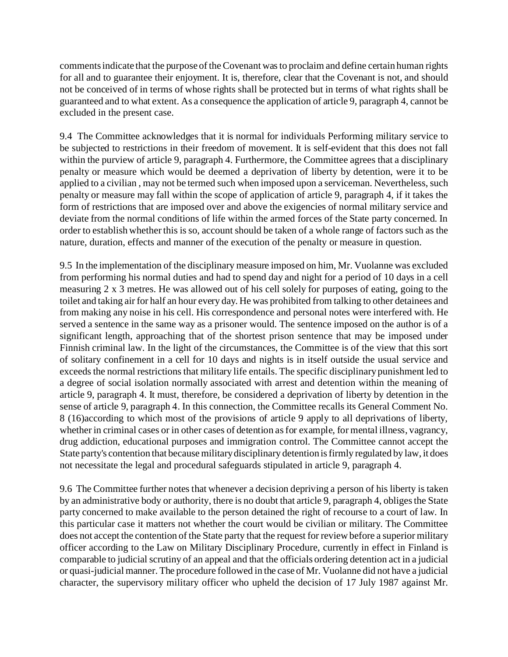comments indicate that the purpose of the Covenant was to proclaim and define certain human rights for all and to guarantee their enjoyment. It is, therefore, clear that the Covenant is not, and should not be conceived of in terms of whose rights shall be protected but in terms of what rights shall be guaranteed and to what extent. As a consequence the application of article 9, paragraph 4, cannot be excluded in the present case.

9.4 The Committee acknowledges that it is normal for individuals Performing military service to be subjected to restrictions in their freedom of movement. It is self-evident that this does not fall within the purview of article 9, paragraph 4. Furthermore, the Committee agrees that a disciplinary penalty or measure which would be deemed a deprivation of liberty by detention, were it to be applied to a civilian , may not be termed such when imposed upon a serviceman. Nevertheless, such penalty or measure may fall within the scope of application of article 9, paragraph 4, if it takes the form of restrictions that are imposed over and above the exigencies of normal military service and deviate from the normal conditions of life within the armed forces of the State party concerned. In order to establish whether this is so, account should be taken of a whole range of factors such as the nature, duration, effects and manner of the execution of the penalty or measure in question.

9.5 In the implementation of the disciplinary measure imposed on him, Mr. Vuolanne was excluded from performing his normal duties and had to spend day and night for a period of 10 days in a cell measuring 2 x 3 metres. He was allowed out of his cell solely for purposes of eating, going to the toilet and taking air for half an hour every day. He was prohibited from talking to other detainees and from making any noise in his cell. His correspondence and personal notes were interfered with. He served a sentence in the same way as a prisoner would. The sentence imposed on the author is of a significant length, approaching that of the shortest prison sentence that may be imposed under Finnish criminal law. In the light of the circumstances, the Committee is of the view that this sort of solitary confinement in a cell for 10 days and nights is in itself outside the usual service and exceeds the normal restrictions that military life entails. The specific disciplinary punishment led to a degree of social isolation normally associated with arrest and detention within the meaning of article 9, paragraph 4. It must, therefore, be considered a deprivation of liberty by detention in the sense of article 9, paragraph 4. In this connection, the Committee recalls its General Comment No. 8 (16)according to which most of the provisions of article 9 apply to all deprivations of liberty, whether in criminal cases or in other cases of detention as for example, for mental illness, vagrancy, drug addiction, educational purposes and immigration control. The Committee cannot accept the State party's contention that because military disciplinary detention is firmly regulated by law, it does not necessitate the legal and procedural safeguards stipulated in article 9, paragraph 4.

9.6 The Committee further notes that whenever a decision depriving a person of his liberty is taken by an administrative body or authority, there is no doubt that article 9, paragraph 4, obliges the State party concerned to make available to the person detained the right of recourse to a court of law. In this particular case it matters not whether the court would be civilian or military. The Committee does not accept the contention of the State party that the request for review before a superior military officer according to the Law on Military Disciplinary Procedure, currently in effect in Finland is comparable to judicial scrutiny of an appeal and that the officials ordering detention act in a judicial or quasi-judicial manner. The procedure followed in the case of Mr. Vuolanne did not have a judicial character, the supervisory military officer who upheld the decision of 17 July 1987 against Mr.